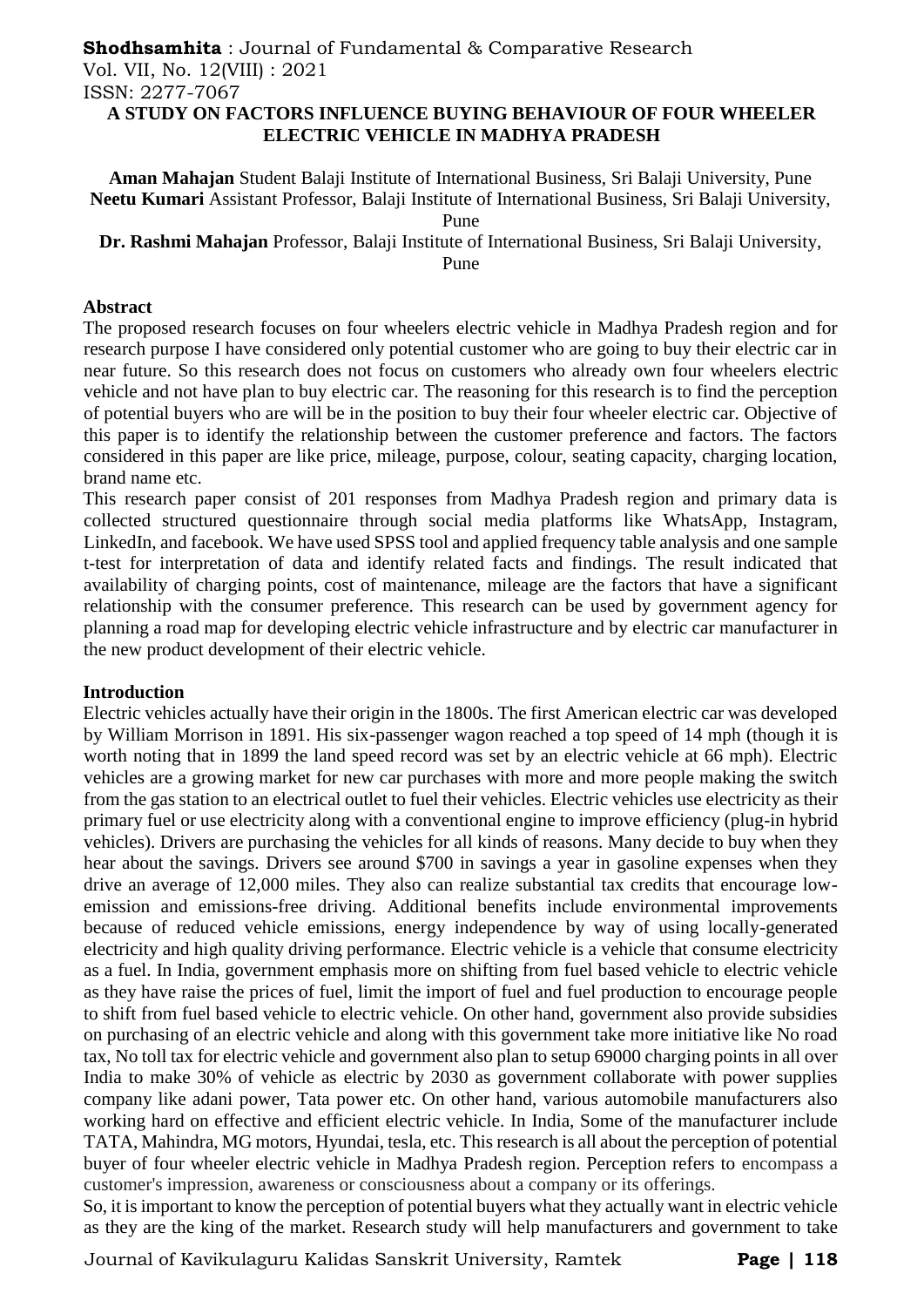# **Shodhsamhita** : Journal of Fundamental & Comparative Research Vol. VII, No. 12(VIII) : 2021 ISSN: 2277-7067

#### **A STUDY ON FACTORS INFLUENCE BUYING BEHAVIOUR OF FOUR WHEELER ELECTRIC VEHICLE IN MADHYA PRADESH**

**Aman Mahajan** Student Balaji Institute of International Business, Sri Balaji University, Pune **Neetu Kumari** Assistant Professor, Balaji Institute of International Business, Sri Balaji University, Pune

**Dr. Rashmi Mahajan** Professor, Balaji Institute of International Business, Sri Balaji University,

Pune

#### **Abstract**

The proposed research focuses on four wheelers electric vehicle in Madhya Pradesh region and for research purpose I have considered only potential customer who are going to buy their electric car in near future. So this research does not focus on customers who already own four wheelers electric vehicle and not have plan to buy electric car. The reasoning for this research is to find the perception of potential buyers who are will be in the position to buy their four wheeler electric car. Objective of this paper is to identify the relationship between the customer preference and factors. The factors considered in this paper are like price, mileage, purpose, colour, seating capacity, charging location, brand name etc.

This research paper consist of 201 responses from Madhya Pradesh region and primary data is collected structured questionnaire through social media platforms like WhatsApp, Instagram, LinkedIn, and facebook. We have used SPSS tool and applied frequency table analysis and one sample t-test for interpretation of data and identify related facts and findings. The result indicated that availability of charging points, cost of maintenance, mileage are the factors that have a significant relationship with the consumer preference. This research can be used by government agency for planning a road map for developing electric vehicle infrastructure and by electric car manufacturer in the new product development of their electric vehicle.

#### **Introduction**

Electric vehicles actually have their origin in the 1800s. The first American electric car was developed by William Morrison in 1891. His six-passenger wagon reached a top speed of 14 mph (though it is worth noting that in 1899 the land speed record was set by an electric vehicle at 66 mph). Electric vehicles are a growing market for new car purchases with more and more people making the switch from the gas station to an electrical outlet to fuel their vehicles. Electric vehicles use electricity as their primary fuel or use electricity along with a conventional engine to improve efficiency (plug-in hybrid vehicles). Drivers are purchasing the vehicles for all kinds of reasons. Many decide to buy when they hear about the savings. Drivers see around \$700 in savings a year in gasoline expenses when they drive an average of 12,000 miles. They also can realize substantial tax credits that encourage lowemission and emissions-free driving. Additional benefits include environmental improvements because of reduced vehicle emissions, energy independence by way of using locally-generated electricity and high quality driving performance. Electric vehicle is a vehicle that consume electricity as a fuel. In India, government emphasis more on shifting from fuel based vehicle to electric vehicle as they have raise the prices of fuel, limit the import of fuel and fuel production to encourage people to shift from fuel based vehicle to electric vehicle. On other hand, government also provide subsidies on purchasing of an electric vehicle and along with this government take more initiative like No road tax, No toll tax for electric vehicle and government also plan to setup 69000 charging points in all over India to make 30% of vehicle as electric by 2030 as government collaborate with power supplies company like adani power, Tata power etc. On other hand, various automobile manufacturers also working hard on effective and efficient electric vehicle. In India, Some of the manufacturer include TATA, Mahindra, MG motors, Hyundai, tesla, etc. This research is all about the perception of potential buyer of four wheeler electric vehicle in Madhya Pradesh region. Perception refers to encompass a customer's impression, awareness or consciousness about a company or its offerings.

So, it is important to know the perception of potential buyers what they actually want in electric vehicle as they are the king of the market. Research study will help manufacturers and government to take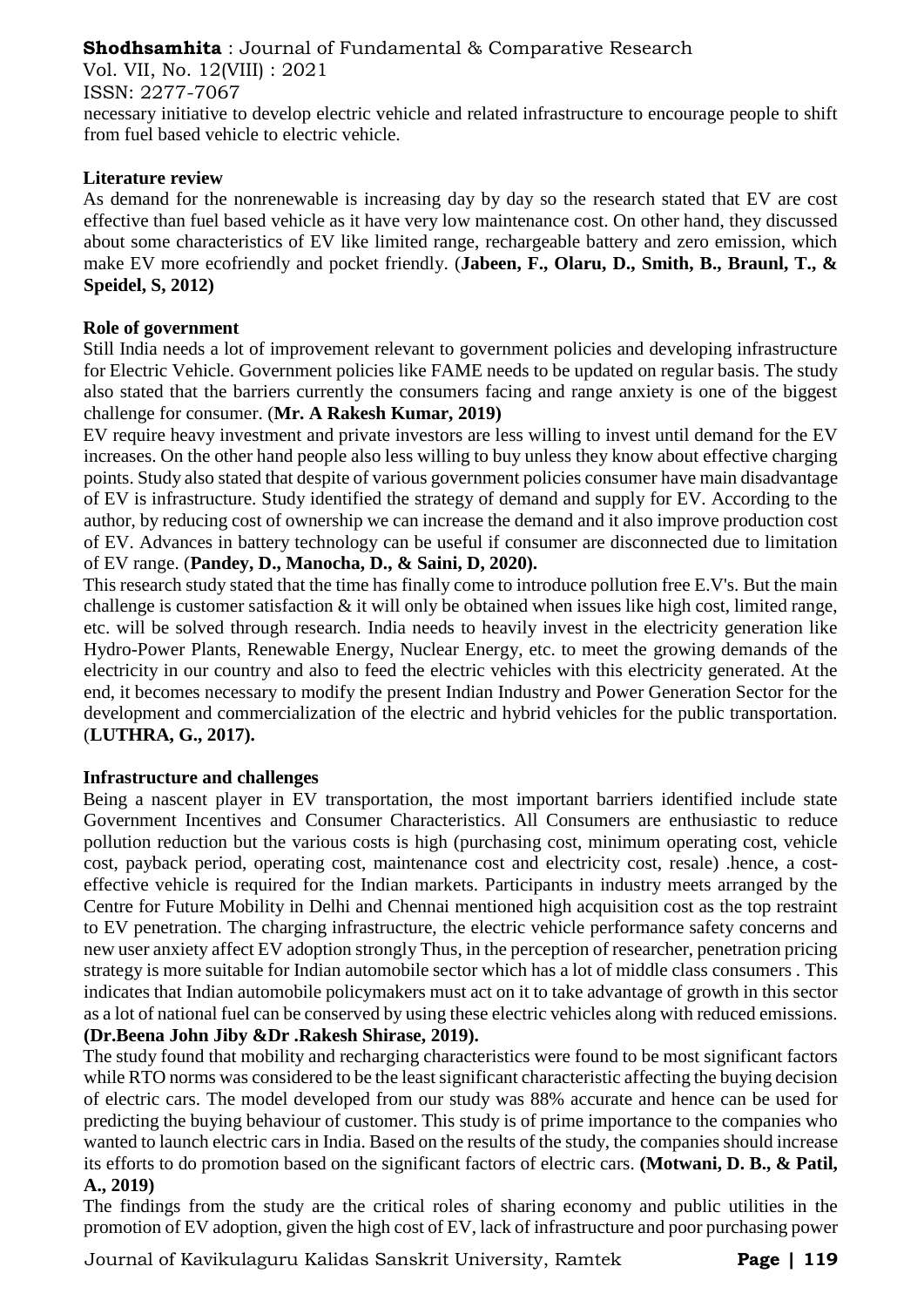Vol. VII, No. 12(VIII) : 2021

#### ISSN: 2277-7067

necessary initiative to develop electric vehicle and related infrastructure to encourage people to shift from fuel based vehicle to electric vehicle.

# **Literature review**

As demand for the nonrenewable is increasing day by day so the research stated that EV are cost effective than fuel based vehicle as it have very low maintenance cost. On other hand, they discussed about some characteristics of EV like limited range, rechargeable battery and zero emission, which make EV more ecofriendly and pocket friendly. (**Jabeen, F., Olaru, D., Smith, B., Braunl, T., & Speidel, S, 2012)** 

# **Role of government**

Still India needs a lot of improvement relevant to government policies and developing infrastructure for Electric Vehicle. Government policies like FAME needs to be updated on regular basis. The study also stated that the barriers currently the consumers facing and range anxiety is one of the biggest challenge for consumer. (**Mr. A Rakesh Kumar, 2019)** 

EV require heavy investment and private investors are less willing to invest until demand for the EV increases. On the other hand people also less willing to buy unless they know about effective charging points. Study also stated that despite of various government policies consumer have main disadvantage of EV is infrastructure. Study identified the strategy of demand and supply for EV. According to the author, by reducing cost of ownership we can increase the demand and it also improve production cost of EV. Advances in battery technology can be useful if consumer are disconnected due to limitation of EV range. (**Pandey, D., Manocha, D., & Saini, D, 2020).** 

This research study stated that the time has finally come to introduce pollution free E.V's. But the main challenge is customer satisfaction  $\&$  it will only be obtained when issues like high cost, limited range, etc. will be solved through research. India needs to heavily invest in the electricity generation like Hydro-Power Plants, Renewable Energy, Nuclear Energy, etc. to meet the growing demands of the electricity in our country and also to feed the electric vehicles with this electricity generated. At the end, it becomes necessary to modify the present Indian Industry and Power Generation Sector for the development and commercialization of the electric and hybrid vehicles for the public transportation. (**LUTHRA, G., 2017).** 

# **Infrastructure and challenges**

Being a nascent player in EV transportation, the most important barriers identified include state Government Incentives and Consumer Characteristics. All Consumers are enthusiastic to reduce pollution reduction but the various costs is high (purchasing cost, minimum operating cost, vehicle cost, payback period, operating cost, maintenance cost and electricity cost, resale) .hence, a costeffective vehicle is required for the Indian markets. Participants in industry meets arranged by the Centre for Future Mobility in Delhi and Chennai mentioned high acquisition cost as the top restraint to EV penetration. The charging infrastructure, the electric vehicle performance safety concerns and new user anxiety affect EV adoption strongly Thus, in the perception of researcher, penetration pricing strategy is more suitable for Indian automobile sector which has a lot of middle class consumers . This indicates that Indian automobile policymakers must act on it to take advantage of growth in this sector as a lot of national fuel can be conserved by using these electric vehicles along with reduced emissions. **(Dr.Beena John Jiby &Dr .Rakesh Shirase, 2019).**

The study found that mobility and recharging characteristics were found to be most significant factors while RTO norms was considered to be the least significant characteristic affecting the buying decision of electric cars. The model developed from our study was 88% accurate and hence can be used for predicting the buying behaviour of customer. This study is of prime importance to the companies who wanted to launch electric cars in India. Based on the results of the study, the companies should increase its efforts to do promotion based on the significant factors of electric cars. **(Motwani, D. B., & Patil,** 

#### **A., 2019)**

The findings from the study are the critical roles of sharing economy and public utilities in the promotion of EV adoption, given the high cost of EV, lack of infrastructure and poor purchasing power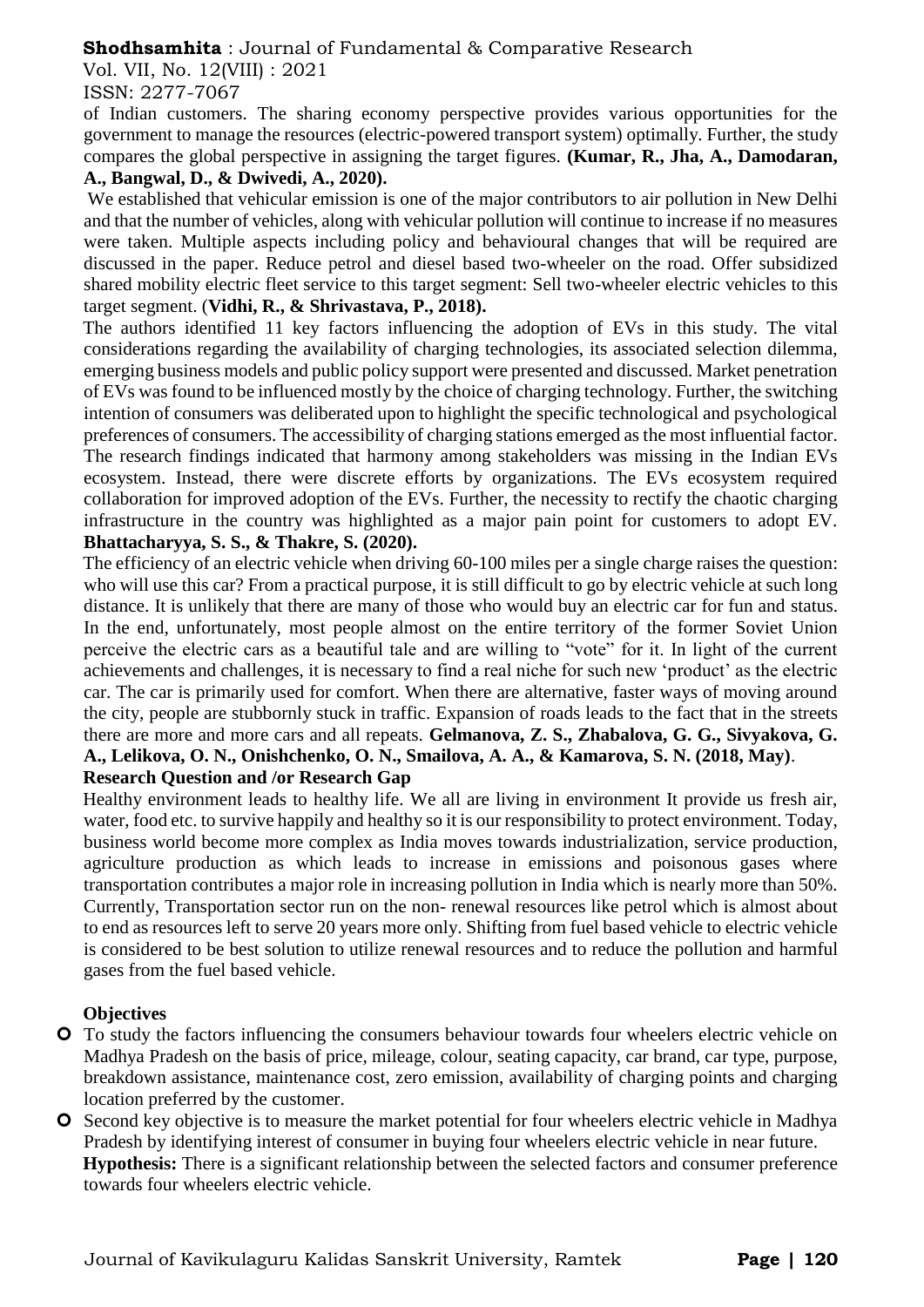Vol. VII, No. 12(VIII) : 2021

# ISSN: 2277-7067

of Indian customers. The sharing economy perspective provides various opportunities for the government to manage the resources (electric-powered transport system) optimally. Further, the study compares the global perspective in assigning the target figures. **(Kumar, R., Jha, A., Damodaran, A., Bangwal, D., & Dwivedi, A., 2020).**

We established that vehicular emission is one of the major contributors to air pollution in New Delhi and that the number of vehicles, along with vehicular pollution will continue to increase if no measures were taken. Multiple aspects including policy and behavioural changes that will be required are discussed in the paper. Reduce petrol and diesel based two-wheeler on the road. Offer subsidized shared mobility electric fleet service to this target segment: Sell two-wheeler electric vehicles to this target segment. (**Vidhi, R., & Shrivastava, P., 2018).**

The authors identified 11 key factors influencing the adoption of EVs in this study. The vital considerations regarding the availability of charging technologies, its associated selection dilemma, emerging business models and public policy support were presented and discussed. Market penetration of EVs was found to be influenced mostly by the choice of charging technology. Further, the switching intention of consumers was deliberated upon to highlight the specific technological and psychological preferences of consumers. The accessibility of charging stations emerged as the most influential factor. The research findings indicated that harmony among stakeholders was missing in the Indian EVs ecosystem. Instead, there were discrete efforts by organizations. The EVs ecosystem required collaboration for improved adoption of the EVs. Further, the necessity to rectify the chaotic charging infrastructure in the country was highlighted as a major pain point for customers to adopt EV. **Bhattacharyya, S. S., & Thakre, S. (2020).** 

The efficiency of an electric vehicle when driving 60-100 miles per a single charge raises the question: who will use this car? From a practical purpose, it is still difficult to go by electric vehicle at such long distance. It is unlikely that there are many of those who would buy an electric car for fun and status. In the end, unfortunately, most people almost on the entire territory of the former Soviet Union perceive the electric cars as a beautiful tale and are willing to "vote" for it. In light of the current achievements and challenges, it is necessary to find a real niche for such new 'product' as the electric car. The car is primarily used for comfort. When there are alternative, faster ways of moving around the city, people are stubbornly stuck in traffic. Expansion of roads leads to the fact that in the streets there are more and more cars and all repeats. **Gelmanova, Z. S., Zhabalova, G. G., Sivyakova, G. A., Lelikova, O. N., Onishchenko, O. N., Smailova, A. A., & Kamarova, S. N. (2018, May)**. **Research Question and /or Research Gap** 

Healthy environment leads to healthy life. We all are living in environment It provide us fresh air, water, food etc. to survive happily and healthy so it is our responsibility to protect environment. Today, business world become more complex as India moves towards industrialization, service production, agriculture production as which leads to increase in emissions and poisonous gases where transportation contributes a major role in increasing pollution in India which is nearly more than 50%. Currently, Transportation sector run on the non- renewal resources like petrol which is almost about to end as resources left to serve 20 years more only. Shifting from fuel based vehicle to electric vehicle is considered to be best solution to utilize renewal resources and to reduce the pollution and harmful gases from the fuel based vehicle.

# **Objectives**

- To study the factors influencing the consumers behaviour towards four wheelers electric vehicle on Madhya Pradesh on the basis of price, mileage, colour, seating capacity, car brand, car type, purpose, breakdown assistance, maintenance cost, zero emission, availability of charging points and charging location preferred by the customer.
- **O** Second key objective is to measure the market potential for four wheelers electric vehicle in Madhya Pradesh by identifying interest of consumer in buying four wheelers electric vehicle in near future. **Hypothesis:** There is a significant relationship between the selected factors and consumer preference towards four wheelers electric vehicle.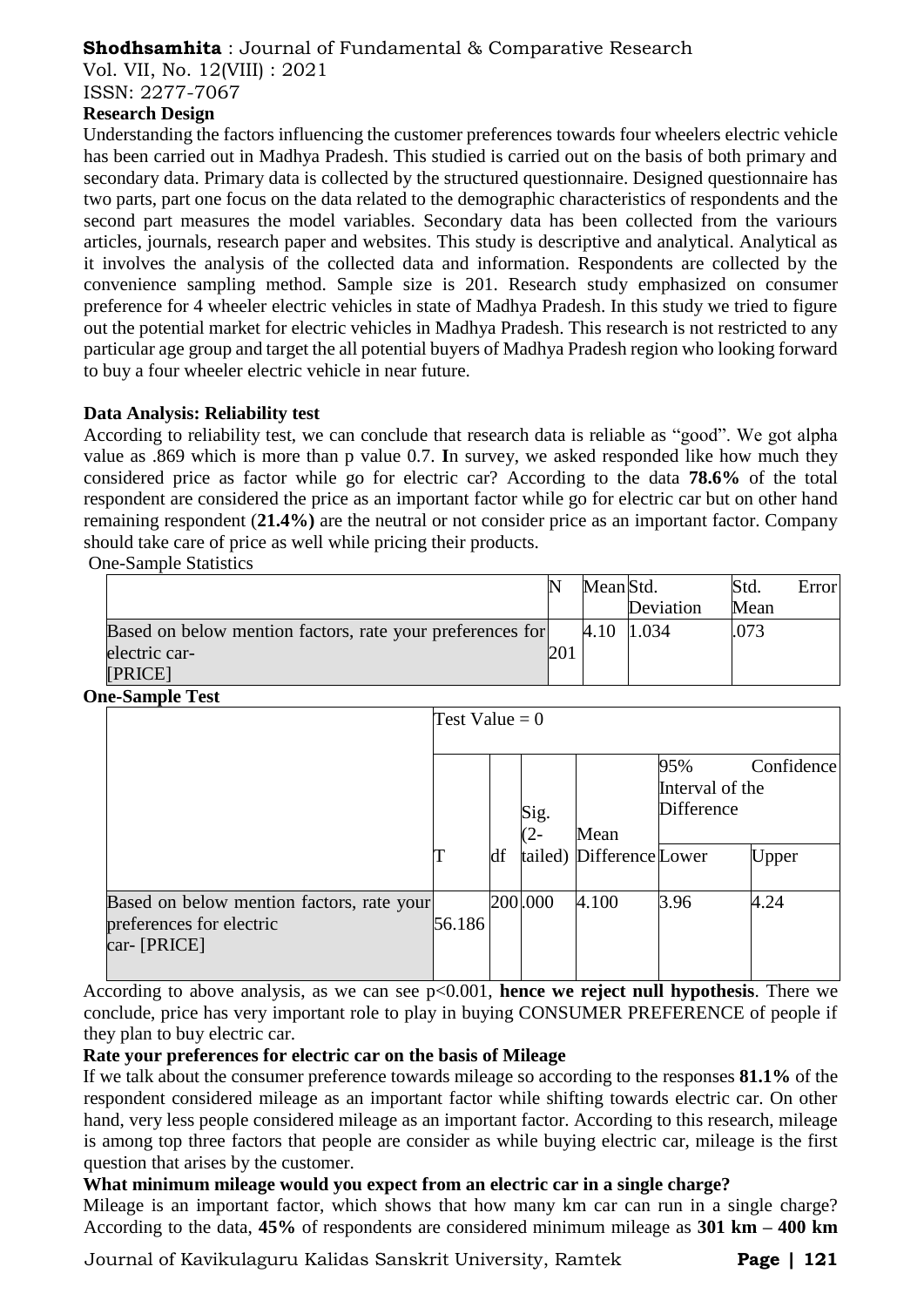Vol. VII, No. 12(VIII) : 2021

ISSN: 2277-7067

# **Research Design**

Understanding the factors influencing the customer preferences towards four wheelers electric vehicle has been carried out in Madhya Pradesh. This studied is carried out on the basis of both primary and secondary data. Primary data is collected by the structured questionnaire. Designed questionnaire has two parts, part one focus on the data related to the demographic characteristics of respondents and the second part measures the model variables. Secondary data has been collected from the variours articles, journals, research paper and websites. This study is descriptive and analytical. Analytical as it involves the analysis of the collected data and information. Respondents are collected by the convenience sampling method. Sample size is 201. Research study emphasized on consumer preference for 4 wheeler electric vehicles in state of Madhya Pradesh. In this study we tried to figure out the potential market for electric vehicles in Madhya Pradesh. This research is not restricted to any particular age group and target the all potential buyers of Madhya Pradesh region who looking forward to buy a four wheeler electric vehicle in near future.

# **Data Analysis: Reliability test**

According to reliability test, we can conclude that research data is reliable as "good". We got alpha value as .869 which is more than p value 0.7. **I**n survey, we asked responded like how much they considered price as factor while go for electric car? According to the data **78.6%** of the total respondent are considered the price as an important factor while go for electric car but on other hand remaining respondent (**21.4%)** are the neutral or not consider price as an important factor. Company should take care of price as well while pricing their products.

One-Sample Statistics

|                                                           |     | Mean Std.  |           | Std. | Error |
|-----------------------------------------------------------|-----|------------|-----------|------|-------|
|                                                           |     |            | Deviation | Mean |       |
| Based on below mention factors, rate your preferences for |     | 4.10 1.034 |           | .073 |       |
| electric car-                                             | 201 |            |           |      |       |
| [PRICE]                                                   |     |            |           |      |       |

#### **One-Sample Test**

|                                                                                       | Test Value = $0$ |    |             |                                  |                                      |                            |  |
|---------------------------------------------------------------------------------------|------------------|----|-------------|----------------------------------|--------------------------------------|----------------------------|--|
|                                                                                       |                  | df | Sig.<br>(2- | Mean<br>tailed) Difference Lower | 95%<br>Interval of the<br>Difference | Confidence<br><b>Upper</b> |  |
| Based on below mention factors, rate your<br>preferences for electric<br>car- [PRICE] | 56.186           |    | 200.000     | 4.100                            | 3.96                                 | 4.24                       |  |

According to above analysis, as we can see p<0.001, **hence we reject null hypothesis**. There we conclude, price has very important role to play in buying CONSUMER PREFERENCE of people if they plan to buy electric car.

# **Rate your preferences for electric car on the basis of Mileage**

If we talk about the consumer preference towards mileage so according to the responses **81.1%** of the respondent considered mileage as an important factor while shifting towards electric car. On other hand, very less people considered mileage as an important factor. According to this research, mileage is among top three factors that people are consider as while buying electric car, mileage is the first question that arises by the customer.

# **What minimum mileage would you expect from an electric car in a single charge?**

Mileage is an important factor, which shows that how many km car can run in a single charge? According to the data, **45%** of respondents are considered minimum mileage as **301 km – 400 km**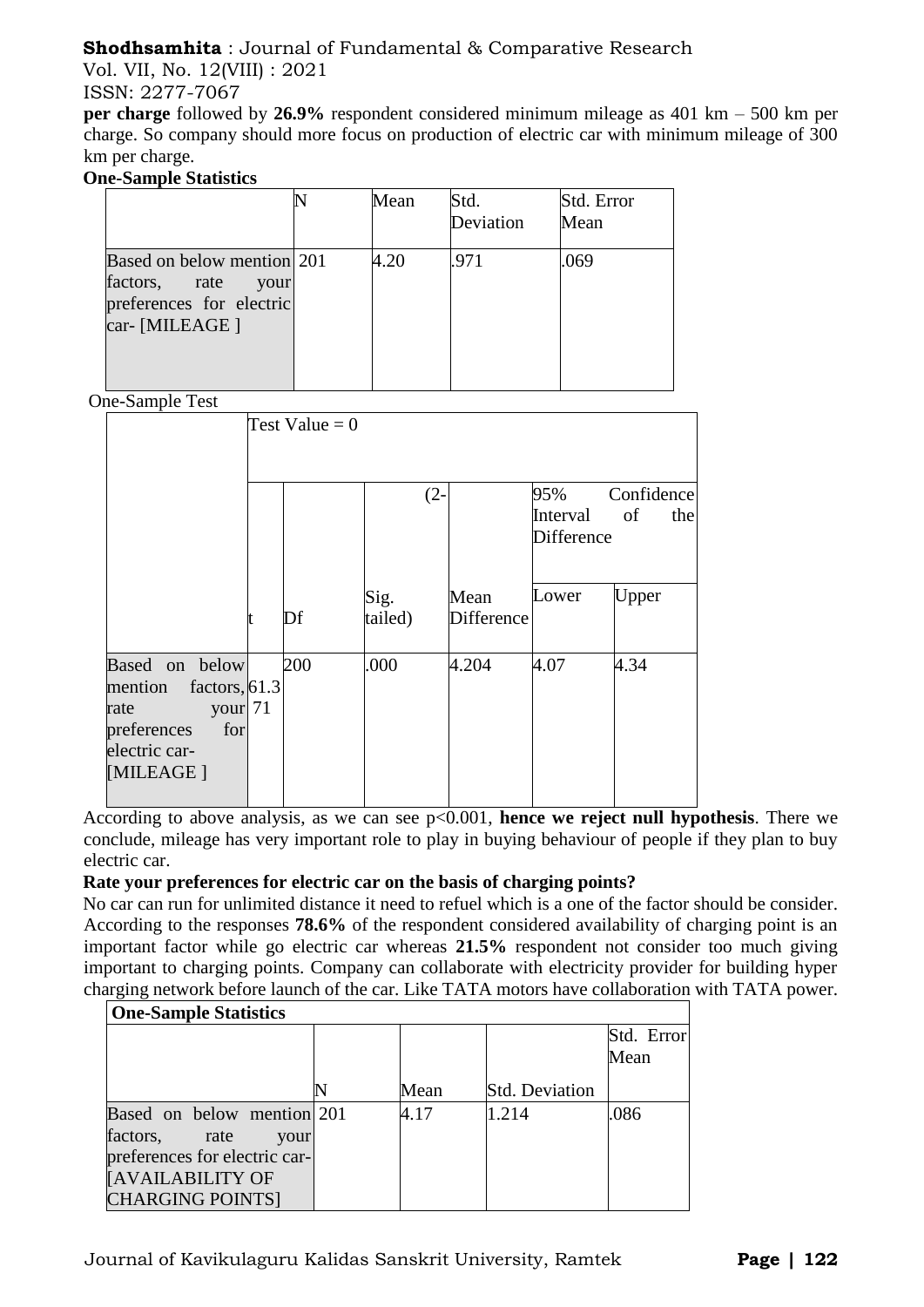Vol. VII, No. 12(VIII) : 2021

ISSN: 2277-7067

**per charge** followed by **26.9%** respondent considered minimum mileage as 401 km – 500 km per charge. So company should more focus on production of electric car with minimum mileage of 300 km per charge.

# **One-Sample Statistics**

|                                                                                                   | Mean | Std.<br>Deviation | Std. Error<br>Mean |
|---------------------------------------------------------------------------------------------------|------|-------------------|--------------------|
| Based on below mention 201<br>factors, rate<br>your<br>preferences for electric<br>car- [MILEAGE] | 4.20 | .971              | .069               |

One-Sample Tool

| ве-защие тем                                                                                                   |                  |                 |                           |                   |                         |
|----------------------------------------------------------------------------------------------------------------|------------------|-----------------|---------------------------|-------------------|-------------------------|
|                                                                                                                | Test Value = $0$ |                 |                           |                   |                         |
|                                                                                                                |                  | $(2 -$          |                           | 95%<br>Interval   | Confidence<br>of<br>the |
|                                                                                                                |                  |                 |                           | <b>Difference</b> |                         |
|                                                                                                                | Df               | Sig.<br>tailed) | Mean<br><b>Difference</b> | Lower             | Upper                   |
| Based on below<br>mention factors, 61.3<br>your 71<br>rate<br>preferences<br>for<br>electric car-<br>[MILEAGE] | 200              | .000            | 4.204                     | 4.07              | 4.34                    |

According to above analysis, as we can see p<0.001, **hence we reject null hypothesis**. There we conclude, mileage has very important role to play in buying behaviour of people if they plan to buy electric car.

# **Rate your preferences for electric car on the basis of charging points?**

No car can run for unlimited distance it need to refuel which is a one of the factor should be consider. According to the responses **78.6%** of the respondent considered availability of charging point is an important factor while go electric car whereas **21.5%** respondent not consider too much giving important to charging points. Company can collaborate with electricity provider for building hyper charging network before launch of the car. Like TATA motors have collaboration with TATA power.

| <b>One-Sample Statistics</b>  |  |      |                       |            |  |  |  |  |
|-------------------------------|--|------|-----------------------|------------|--|--|--|--|
|                               |  |      |                       | Std. Error |  |  |  |  |
|                               |  |      |                       | Mean       |  |  |  |  |
|                               |  | Mean | <b>Std. Deviation</b> |            |  |  |  |  |
| Based on below mention 201    |  | 4.17 | 1.214                 | .086       |  |  |  |  |
| factors,<br>rate<br>your      |  |      |                       |            |  |  |  |  |
| preferences for electric car- |  |      |                       |            |  |  |  |  |
| <b>[AVAILABILITY OF</b>       |  |      |                       |            |  |  |  |  |
| <b>CHARGING POINTS]</b>       |  |      |                       |            |  |  |  |  |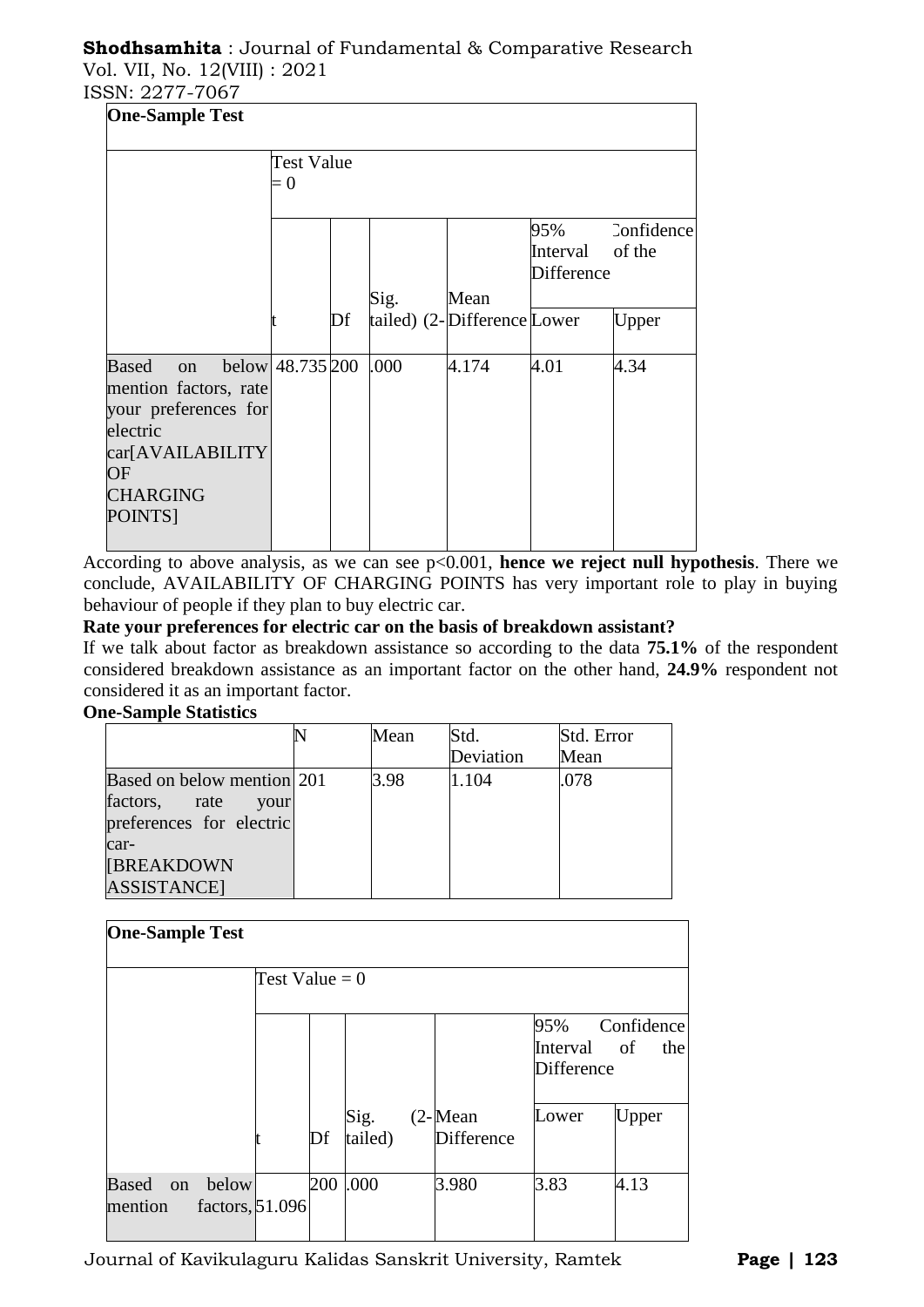# **Shodhsamhita** : Journal of Fundamental & Comparative Research Vol. VII, No. 12(VIII) : 2021

ISSN: 2277-7067

| <b>One-Sample Test</b>                                                                                                                  |                     |    |      |                             |                                             |            |
|-----------------------------------------------------------------------------------------------------------------------------------------|---------------------|----|------|-----------------------------|---------------------------------------------|------------|
|                                                                                                                                         | Test Value<br>$= 0$ |    |      |                             |                                             |            |
|                                                                                                                                         |                     |    |      |                             | 95%<br>Interval of the<br><b>Difference</b> | Confidence |
|                                                                                                                                         |                     |    | Sig. | Mean                        |                                             |            |
|                                                                                                                                         |                     | Df |      | tailed) (2-Difference Lower |                                             | Upper      |
| <b>Based</b><br>on<br>mention factors, rate<br>your preferences for<br>electric<br>car[AVAILABILITY<br>OF<br><b>CHARGING</b><br>POINTS] | below $48.735\,200$ |    | .000 | 4.174                       | 4.01                                        | 4.34       |

According to above analysis, as we can see p<0.001, **hence we reject null hypothesis**. There we conclude, AVAILABILITY OF CHARGING POINTS has very important role to play in buying behaviour of people if they plan to buy electric car.

#### **Rate your preferences for electric car on the basis of breakdown assistant?**

If we talk about factor as breakdown assistance so according to the data **75.1%** of the respondent considered breakdown assistance as an important factor on the other hand, **24.9%** respondent not considered it as an important factor.

# **One-Sample Statistics**

|                            | Mean | Std.      | Std. Error |
|----------------------------|------|-----------|------------|
|                            |      | Deviation | Mean       |
| Based on below mention 201 | 3.98 | 1.104     | .078       |
| factors, rate<br>your      |      |           |            |
| preferences for electric   |      |           |            |
| car-                       |      |           |            |
| <b>[BREAKDOWN</b>          |      |           |            |
| <b>ASSISTANCE</b>          |      |           |            |

| <b>One-Sample Test</b>       |                  |    |                 |                                 |                               |                         |
|------------------------------|------------------|----|-----------------|---------------------------------|-------------------------------|-------------------------|
|                              | Test Value = $0$ |    |                 |                                 |                               |                         |
|                              |                  |    |                 |                                 | 95%<br>Interval<br>Difference | Confidence<br>of<br>the |
|                              |                  | Df | Sig.<br>tailed) | $(2$ -Mean<br><b>Difference</b> | Lower                         | Upper                   |
| Based on<br>below<br>mention | factors, 51.096  |    | 200 .000        | 3.980                           | 3.83                          | 4.13                    |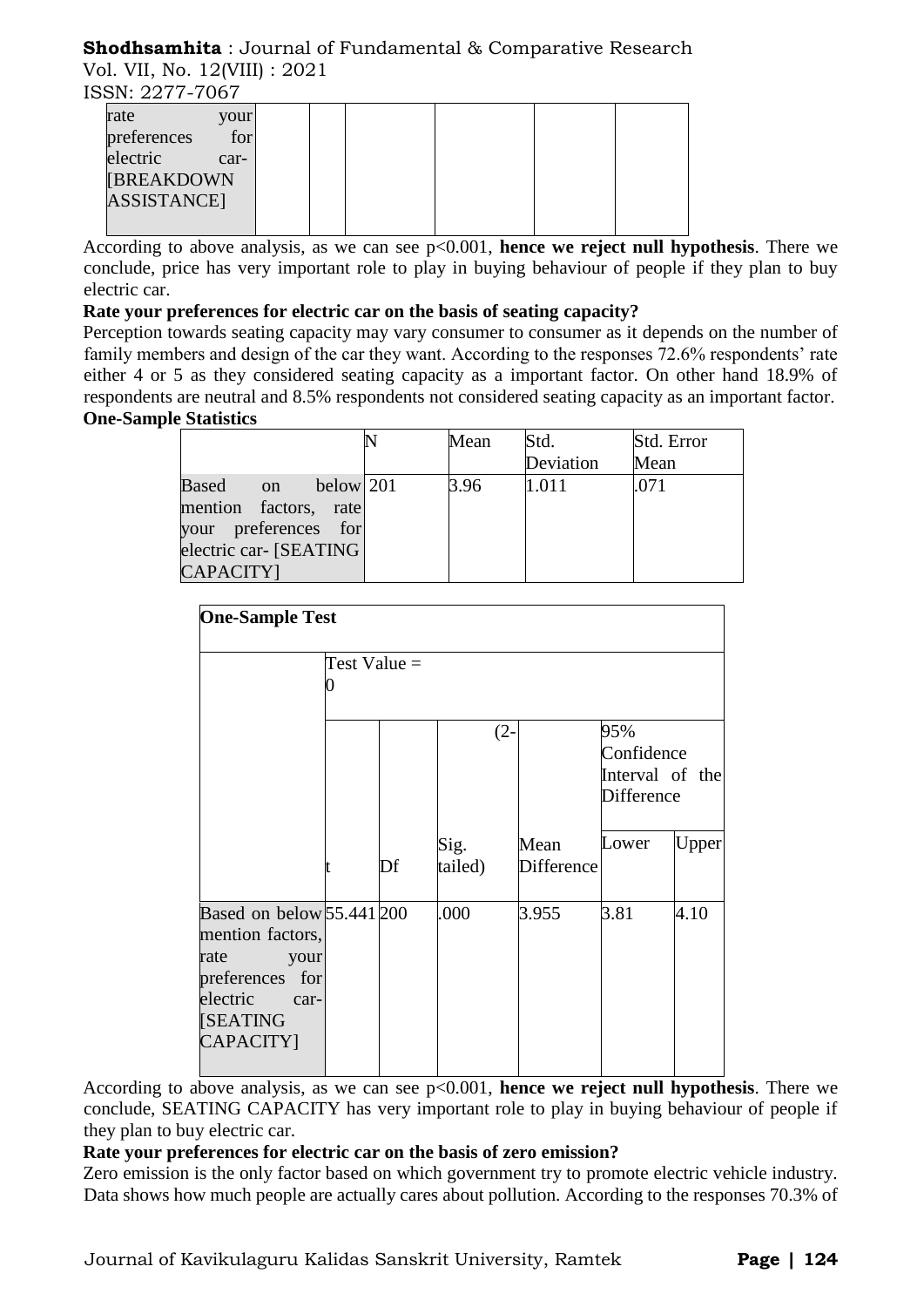# **Shodhsamhita** : Journal of Fundamental & Comparative Research Vol. VII, No. 12(VIII) : 2021

ISSN: 2277-7067

According to above analysis, as we can see p<0.001, **hence we reject null hypothesis**. There we conclude, price has very important role to play in buying behaviour of people if they plan to buy electric car.

# **Rate your preferences for electric car on the basis of seating capacity?**

Perception towards seating capacity may vary consumer to consumer as it depends on the number of family members and design of the car they want. According to the responses 72.6% respondents' rate either 4 or 5 as they considered seating capacity as a important factor. On other hand 18.9% of respondents are neutral and 8.5% respondents not considered seating capacity as an important factor. **One-Sample Statistics**

|                         | Mean | Std.      | Std. Error |
|-------------------------|------|-----------|------------|
|                         |      | Deviation | Mean       |
| Based on<br>below $201$ | 3.96 | 1.011     | .071       |
| mention factors, rate   |      |           |            |
| your preferences for    |      |           |            |
| electric car- [SEATING] |      |           |            |
| CAPACITY]               |      |           |            |

| <b>One-Sample Test</b>                                                                                                        |                |    |                 |                    |                                                           |       |  |
|-------------------------------------------------------------------------------------------------------------------------------|----------------|----|-----------------|--------------------|-----------------------------------------------------------|-------|--|
|                                                                                                                               | Test Value $=$ |    |                 |                    |                                                           |       |  |
|                                                                                                                               |                |    | $(2 -$          |                    | 95%<br>Confidence<br>Interval of the<br><b>Difference</b> |       |  |
|                                                                                                                               |                | Df | Sig.<br>tailed) | Mean<br>Difference | Lower                                                     | Upper |  |
| Based on below 55.441 200<br>mention factors,<br>rate<br>your<br>preferences for<br>electric<br>car-<br>[SEATING<br>CAPACITY] |                |    | .000            | 3.955              | 3.81                                                      | 4.10  |  |

According to above analysis, as we can see p<0.001, **hence we reject null hypothesis**. There we conclude, SEATING CAPACITY has very important role to play in buying behaviour of people if they plan to buy electric car.

#### **Rate your preferences for electric car on the basis of zero emission?**

Zero emission is the only factor based on which government try to promote electric vehicle industry. Data shows how much people are actually cares about pollution. According to the responses 70.3% of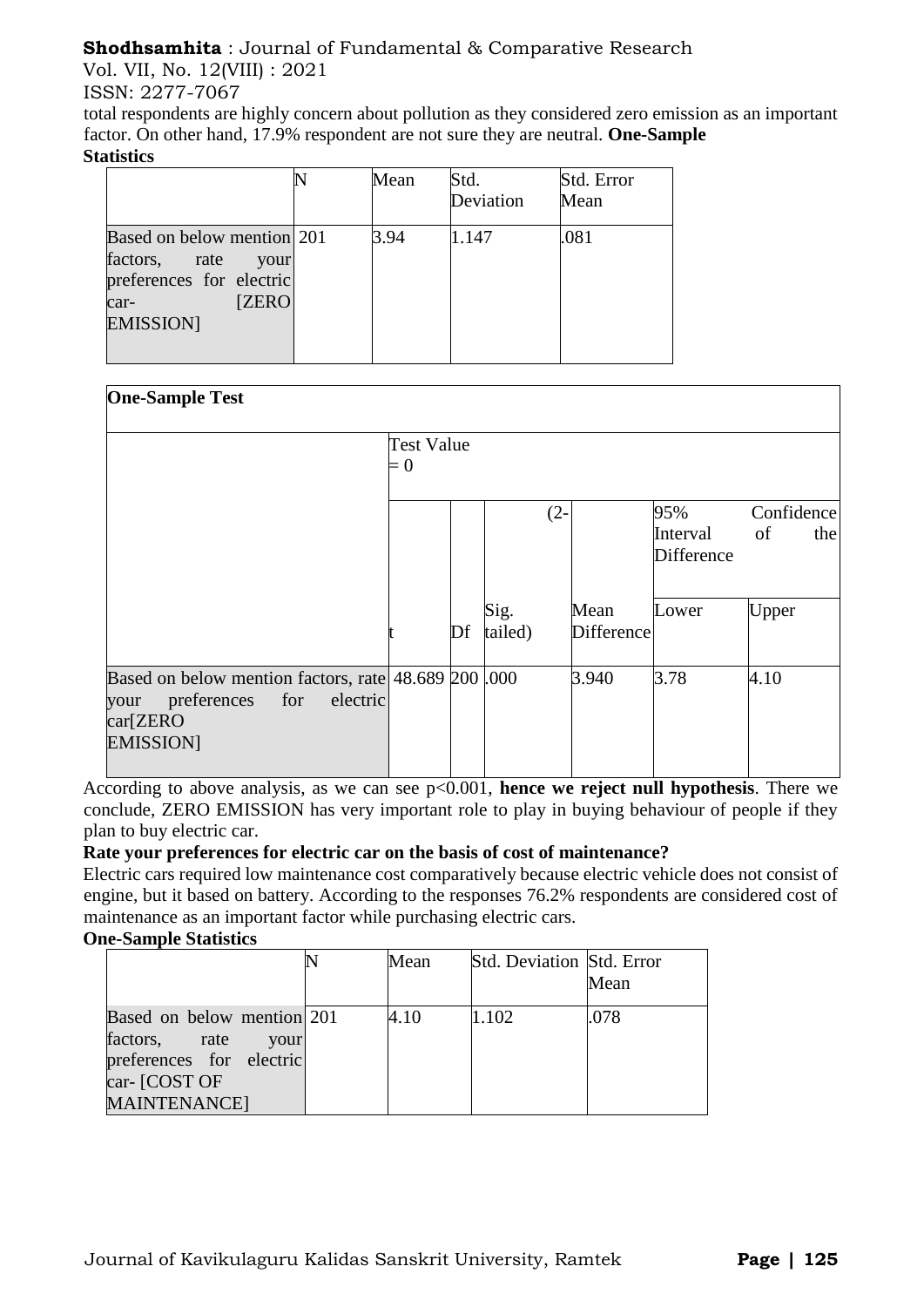Vol. VII, No. 12(VIII) : 2021

ISSN: 2277-7067

total respondents are highly concern about pollution as they considered zero emission as an important factor. On other hand, 17.9% respondent are not sure they are neutral. **One-Sample Statistics**

|                                                                                                                              | Mean | Std.<br>Deviation | Std. Error<br>Mean |
|------------------------------------------------------------------------------------------------------------------------------|------|-------------------|--------------------|
| Based on below mention 201<br>factors,<br>rate<br>your<br>preferences for electric<br><b>ZERO</b><br>car-<br><b>EMISSION</b> | 3.94 | 1.147             | .081               |

| <b>One-Sample Test</b>                                                                                                        |                            |    |                 |                    |                                      |                         |
|-------------------------------------------------------------------------------------------------------------------------------|----------------------------|----|-----------------|--------------------|--------------------------------------|-------------------------|
|                                                                                                                               | <b>Test Value</b><br>$= 0$ |    |                 |                    |                                      |                         |
|                                                                                                                               |                            |    | $(2 -$          |                    | 95%<br>Interval<br><b>Difference</b> | Confidence<br>of<br>the |
|                                                                                                                               |                            | Df | Sig.<br>tailed) | Mean<br>Difference | Lower                                | Upper                   |
| Based on below mention factors, rate 48.689 200 .000<br>preferences<br>for<br>electric<br>your<br>car[ZERO<br><b>EMISSION</b> |                            |    |                 | 3.940              | 3.78                                 | 4.10                    |

According to above analysis, as we can see p<0.001, **hence we reject null hypothesis**. There we conclude, ZERO EMISSION has very important role to play in buying behaviour of people if they plan to buy electric car.

# **Rate your preferences for electric car on the basis of cost of maintenance?**

Electric cars required low maintenance cost comparatively because electric vehicle does not consist of engine, but it based on battery. According to the responses 76.2% respondents are considered cost of maintenance as an important factor while purchasing electric cars.

#### **One-Sample Statistics**

|                                                                                                                       | Mean | Std. Deviation Std. Error | Mean |
|-----------------------------------------------------------------------------------------------------------------------|------|---------------------------|------|
| Based on below mention 201<br>factors, rate your<br>preferences for electric<br>car- [COST OF<br><b>MAINTENANCE</b> ] | 4.10 | 1.102                     | .078 |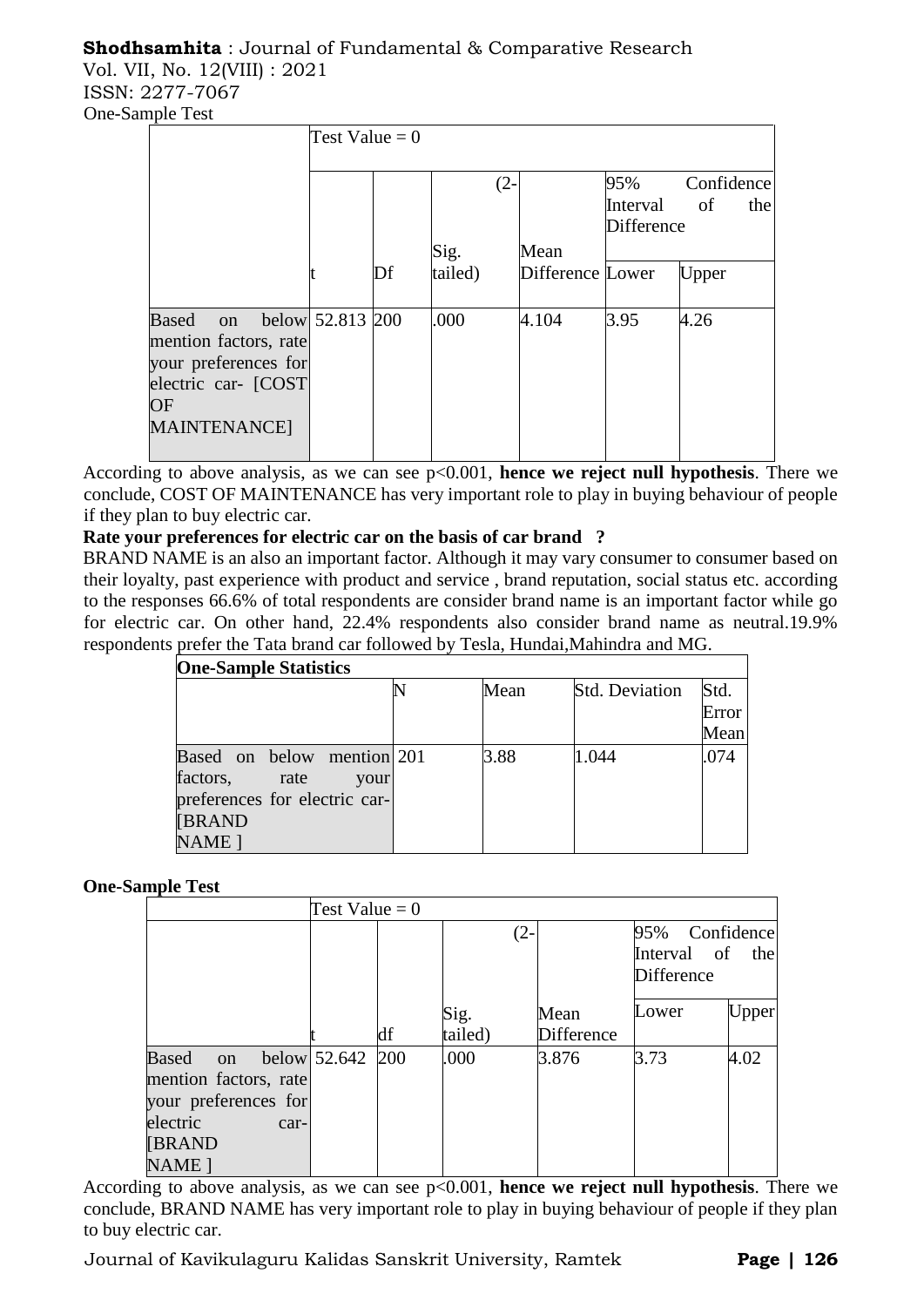# **Shodhsamhita** : Journal of Fundamental & Comparative Research Vol. VII, No. 12(VIII) : 2021

ISSN: 2277-7067 One-Sample Test

| пріс тем                                                                                                      |                  |    |                 |        |                          |                   |                         |
|---------------------------------------------------------------------------------------------------------------|------------------|----|-----------------|--------|--------------------------|-------------------|-------------------------|
|                                                                                                               | Test Value = $0$ |    |                 |        |                          |                   |                         |
|                                                                                                               |                  |    |                 | $(2 -$ |                          | 95%<br>Interval   | Confidence<br>of<br>the |
|                                                                                                               |                  |    |                 |        |                          | <b>Difference</b> |                         |
|                                                                                                               |                  | Df | Sig.<br>tailed) |        | Mean<br>Difference Lower |                   | Upper                   |
|                                                                                                               |                  |    |                 |        |                          |                   |                         |
| Based on<br>mention factors, rate<br>your preferences for<br>electric car- [COST]<br>OF<br><b>MAINTENANCE</b> | below 52.813 200 |    | .000            |        | 4.104                    | 3.95              | 4.26                    |
|                                                                                                               |                  |    |                 |        |                          |                   |                         |

According to above analysis, as we can see p<0.001, **hence we reject null hypothesis**. There we conclude, COST OF MAINTENANCE has very important role to play in buying behaviour of people if they plan to buy electric car.

# **Rate your preferences for electric car on the basis of car brand ?**

BRAND NAME is an also an important factor. Although it may vary consumer to consumer based on their loyalty, past experience with product and service , brand reputation, social status etc. according to the responses 66.6% of total respondents are consider brand name is an important factor while go for electric car. On other hand, 22.4% respondents also consider brand name as neutral.19.9% respondents prefer the Tata brand car followed by Tesla, Hundai,Mahindra and MG.

| <b>One-Sample Statistics</b>  |      |      |                       |       |  |  |  |  |  |  |
|-------------------------------|------|------|-----------------------|-------|--|--|--|--|--|--|
|                               |      | Mean | <b>Std. Deviation</b> | Std.  |  |  |  |  |  |  |
|                               |      |      |                       | Error |  |  |  |  |  |  |
|                               |      |      |                       | Mean  |  |  |  |  |  |  |
| Based on below mention 201    |      | 3.88 | 1.044                 | .074  |  |  |  |  |  |  |
| factors,<br>rate              | your |      |                       |       |  |  |  |  |  |  |
| preferences for electric car- |      |      |                       |       |  |  |  |  |  |  |
| <b>[BRAND</b>                 |      |      |                       |       |  |  |  |  |  |  |
| NAME <sub>1</sub>             |      |      |                       |       |  |  |  |  |  |  |

# **One-Sample Test**

|                                                                                             | Test Value = $0$ |    |                 |                           |                                             |       |
|---------------------------------------------------------------------------------------------|------------------|----|-----------------|---------------------------|---------------------------------------------|-------|
|                                                                                             |                  |    | $(2 -$          |                           | 95% Confidence<br>Interval of<br>Difference | the   |
|                                                                                             |                  | df | Sig.<br>tailed) | Mean<br><b>Difference</b> | Lower                                       | Upper |
| Based<br><sub>on</sub><br>mention factors, rate<br>your preferences for<br>electric<br>car- | below 52.642 200 |    | .000            | 3.876                     | 3.73                                        | 4.02  |
| <b>[BRAND</b><br>NAME <sub>1</sub>                                                          |                  |    |                 |                           |                                             |       |

According to above analysis, as we can see  $p<0.001$ , **hence we reject null hypothesis**. There we conclude, BRAND NAME has very important role to play in buying behaviour of people if they plan to buy electric car.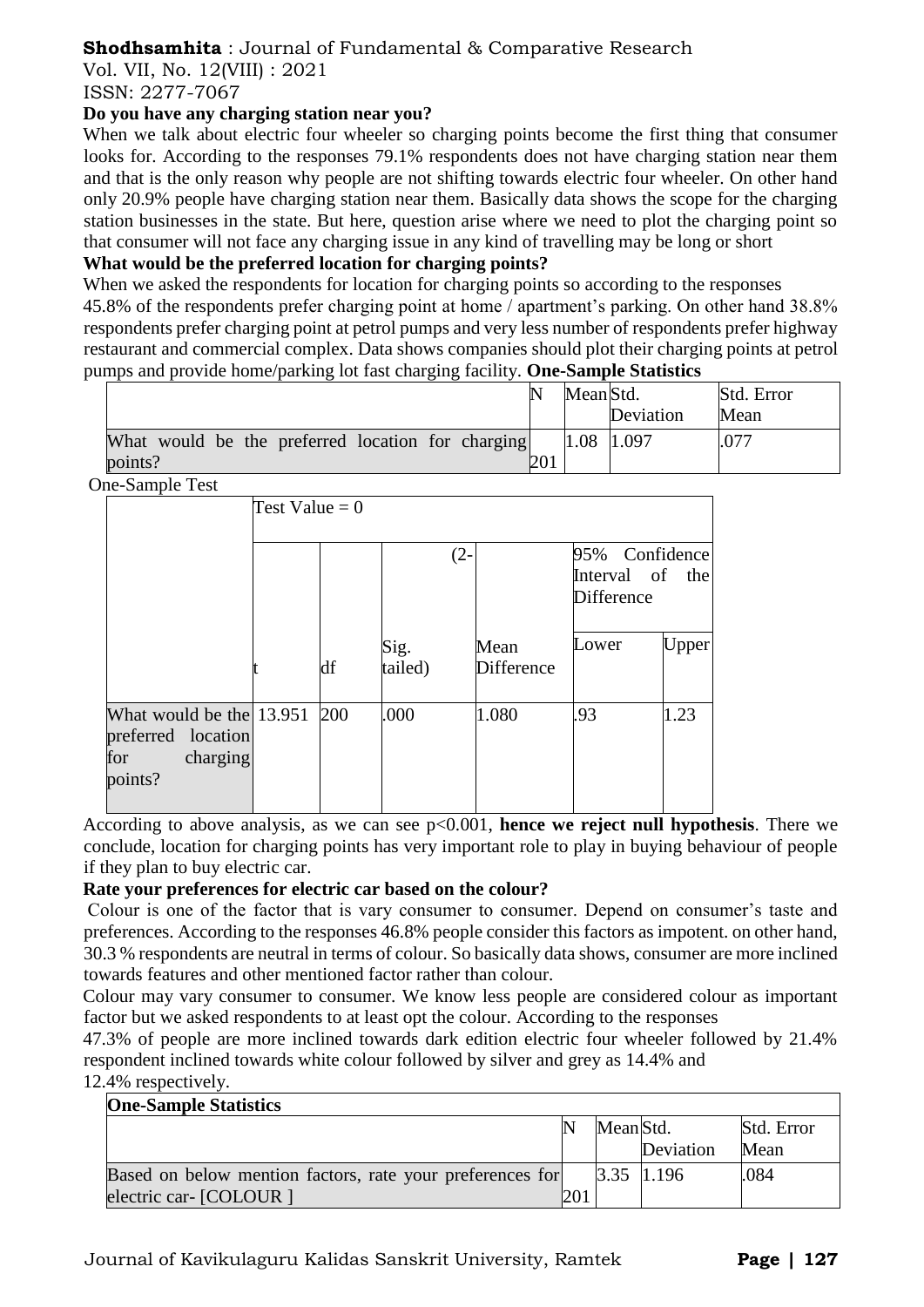Vol. VII, No. 12(VIII) : 2021

ISSN: 2277-7067

# **Do you have any charging station near you?**

When we talk about electric four wheeler so charging points become the first thing that consumer looks for. According to the responses 79.1% respondents does not have charging station near them and that is the only reason why people are not shifting towards electric four wheeler. On other hand only 20.9% people have charging station near them. Basically data shows the scope for the charging station businesses in the state. But here, question arise where we need to plot the charging point so that consumer will not face any charging issue in any kind of travelling may be long or short

# **What would be the preferred location for charging points?**

When we asked the respondents for location for charging points so according to the responses 45.8% of the respondents prefer charging point at home / apartment's parking. On other hand 38.8% respondents prefer charging point at petrol pumps and very less number of respondents prefer highway restaurant and commercial complex. Data shows companies should plot their charging points at petrol pumps and provide home/parking lot fast charging facility. **One-Sample Statistics**

|                                                   | Mean Std. |           | Std. Error |
|---------------------------------------------------|-----------|-----------|------------|
|                                                   |           | Deviation | Mean       |
| What would be the preferred location for charging | 1.08      | 1.097     | .077       |
| points?                                           |           |           |            |

One-Sample Test

| m-Sampic Test                                                                |                  |     |                 |                           |                                                 |       |
|------------------------------------------------------------------------------|------------------|-----|-----------------|---------------------------|-------------------------------------------------|-------|
|                                                                              | Test Value = $0$ |     |                 |                           |                                                 |       |
|                                                                              |                  |     | $(2 -$          |                           | 95% Confidence<br>Interval of the<br>Difference |       |
|                                                                              |                  | df  | Sig.<br>tailed) | Mean<br><b>Difference</b> | Lower                                           | Upper |
| What would be the 13.951<br>preferred location<br>charging<br>for<br>points? |                  | 200 | .000            | 1.080                     | .93                                             | 1.23  |

According to above analysis, as we can see p<0.001, **hence we reject null hypothesis**. There we conclude, location for charging points has very important role to play in buying behaviour of people if they plan to buy electric car.

# **Rate your preferences for electric car based on the colour?**

Colour is one of the factor that is vary consumer to consumer. Depend on consumer's taste and preferences. According to the responses 46.8% people consider this factors as impotent. on other hand, 30.3 % respondents are neutral in terms of colour. So basically data shows, consumer are more inclined towards features and other mentioned factor rather than colour.

Colour may vary consumer to consumer. We know less people are considered colour as important factor but we asked respondents to at least opt the colour. According to the responses

47.3% of people are more inclined towards dark edition electric four wheeler followed by 21.4% respondent inclined towards white colour followed by silver and grey as 14.4% and

12.4% respectively.

| <b>One-Sample Statistics</b>                              |           |                   |            |
|-----------------------------------------------------------|-----------|-------------------|------------|
|                                                           | Mean Std. |                   | Std. Error |
|                                                           |           | Deviation         | Mean       |
| Based on below mention factors, rate your preferences for |           | $3.35 \;   1.196$ | .084       |
| electric car- [COLOUR ]                                   |           |                   |            |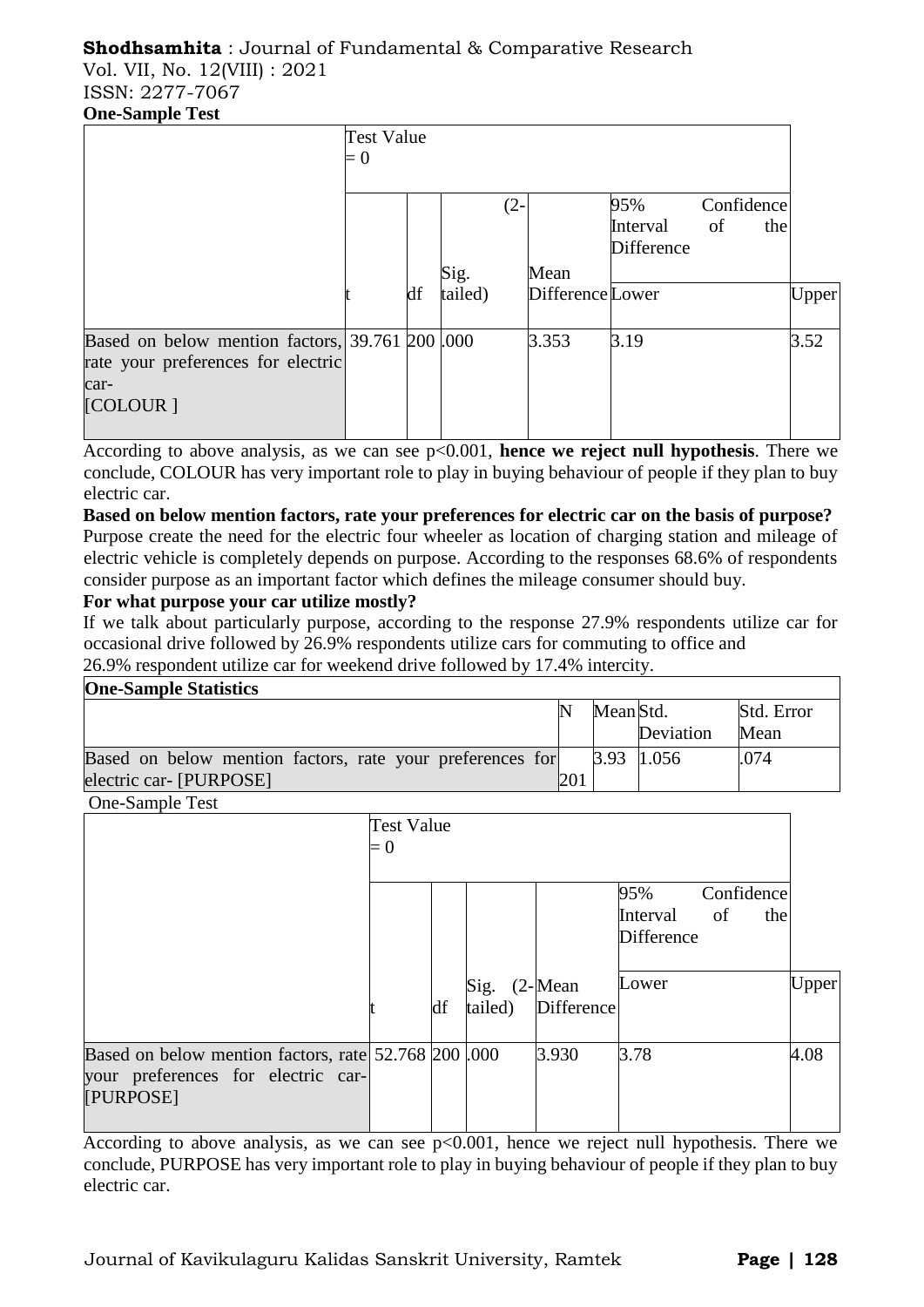Vol. VII, No. 12(VIII) : 2021 ISSN: 2277-7067 **One-Sample Test**

|                                                                                                     | <b>Test Value</b><br>$= 0$ |    |         |        |                  |                        |            |     |       |
|-----------------------------------------------------------------------------------------------------|----------------------------|----|---------|--------|------------------|------------------------|------------|-----|-------|
|                                                                                                     |                            |    |         | $(2 -$ |                  | 95%                    | Confidence |     |       |
|                                                                                                     |                            |    |         |        |                  | Interval<br>Difference | of         | the |       |
|                                                                                                     |                            |    | Sig.    |        | Mean             |                        |            |     |       |
|                                                                                                     |                            | df | tailed) |        | Difference Lower |                        |            |     | Upper |
| Based on below mention factors, $39.761$ $200$ $1000$<br>rate your preferences for electric<br>car- |                            |    |         |        | 3.353            | 3.19                   |            |     | 3.52  |
| [COLOUR]                                                                                            |                            |    |         |        |                  |                        |            |     |       |

According to above analysis, as we can see p<0.001, **hence we reject null hypothesis**. There we conclude, COLOUR has very important role to play in buying behaviour of people if they plan to buy electric car.

**Based on below mention factors, rate your preferences for electric car on the basis of purpose?** Purpose create the need for the electric four wheeler as location of charging station and mileage of electric vehicle is completely depends on purpose. According to the responses 68.6% of respondents consider purpose as an important factor which defines the mileage consumer should buy.

# **For what purpose your car utilize mostly?**

If we talk about particularly purpose, according to the response 27.9% respondents utilize car for occasional drive followed by 26.9% respondents utilize cars for commuting to office and 26.9% respondent utilize car for weekend drive followed by 17.4% intercity.

| <b>One-Sample Statistics</b>                              |     |           |              |            |
|-----------------------------------------------------------|-----|-----------|--------------|------------|
|                                                           |     | Mean Std. |              | Std. Error |
|                                                           |     |           | Deviation    | Mean       |
| Based on below mention factors, rate your preferences for |     |           | $3.93$ 1.056 | .074       |
| electric car- [PURPOSE]                                   | 201 |           |              |            |

One-Sample Test

|                                                                                                         | Test Value<br>$= 0$ |    |                         |            |                                      |                         |       |
|---------------------------------------------------------------------------------------------------------|---------------------|----|-------------------------|------------|--------------------------------------|-------------------------|-------|
|                                                                                                         |                     |    |                         |            | 95%<br>Interval<br><b>Difference</b> | Confidence<br>of<br>the |       |
|                                                                                                         |                     | df | Sig. (2-Mean<br>tailed) | Difference | Lower                                |                         | Upper |
| Based on below mention factors, rate 52.768 200 .000<br>your preferences for electric car-<br>[PURPOSE] |                     |    |                         | 3.930      | 3.78                                 |                         | 4.08  |

According to above analysis, as we can see  $p<0.001$ , hence we reject null hypothesis. There we conclude, PURPOSE has very important role to play in buying behaviour of people if they plan to buy electric car.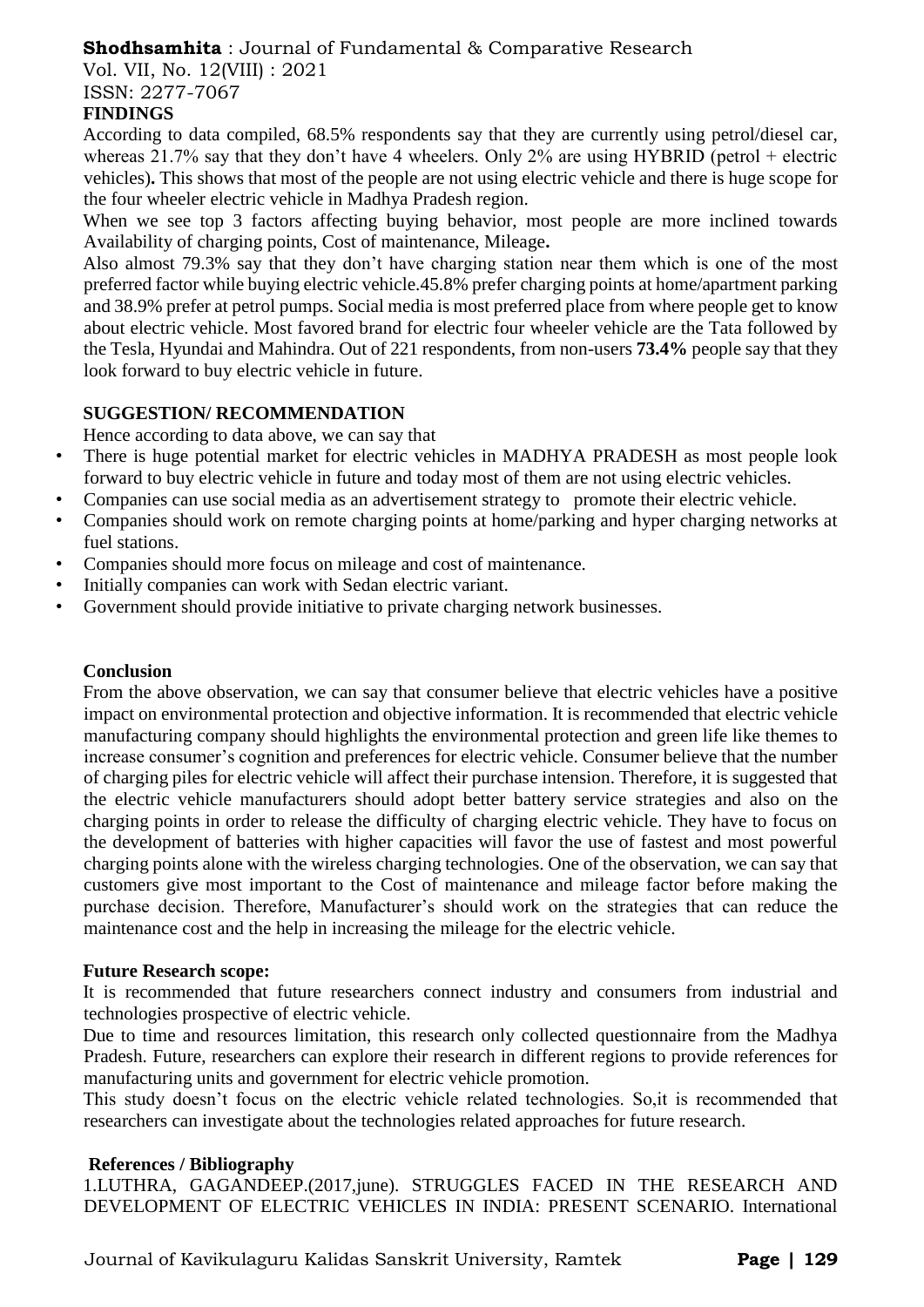Vol. VII, No. 12(VIII) : 2021

ISSN: 2277-7067

# **FINDINGS**

According to data compiled, 68.5% respondents say that they are currently using petrol/diesel car, whereas 21.7% say that they don't have 4 wheelers. Only  $2\%$  are using HYBRID (petrol + electric vehicles)**.** This shows that most of the people are not using electric vehicle and there is huge scope for the four wheeler electric vehicle in Madhya Pradesh region.

When we see top 3 factors affecting buying behavior, most people are more inclined towards Availability of charging points, Cost of maintenance, Mileage**.**

Also almost 79.3% say that they don't have charging station near them which is one of the most preferred factor while buying electric vehicle.45.8% prefer charging points at home/apartment parking and 38.9% prefer at petrol pumps. Social media is most preferred place from where people get to know about electric vehicle. Most favored brand for electric four wheeler vehicle are the Tata followed by the Tesla, Hyundai and Mahindra. Out of 221 respondents, from non-users **73.4%** people say that they look forward to buy electric vehicle in future.

# **SUGGESTION/ RECOMMENDATION**

Hence according to data above, we can say that

- There is huge potential market for electric vehicles in MADHYA PRADESH as most people look forward to buy electric vehicle in future and today most of them are not using electric vehicles.
- Companies can use social media as an advertisement strategy to promote their electric vehicle.
- Companies should work on remote charging points at home/parking and hyper charging networks at fuel stations.
- Companies should more focus on mileage and cost of maintenance.
- Initially companies can work with Sedan electric variant.
- Government should provide initiative to private charging network businesses.

#### **Conclusion**

From the above observation, we can say that consumer believe that electric vehicles have a positive impact on environmental protection and objective information. It is recommended that electric vehicle manufacturing company should highlights the environmental protection and green life like themes to increase consumer's cognition and preferences for electric vehicle. Consumer believe that the number of charging piles for electric vehicle will affect their purchase intension. Therefore, it is suggested that the electric vehicle manufacturers should adopt better battery service strategies and also on the charging points in order to release the difficulty of charging electric vehicle. They have to focus on the development of batteries with higher capacities will favor the use of fastest and most powerful charging points alone with the wireless charging technologies. One of the observation, we can say that customers give most important to the Cost of maintenance and mileage factor before making the purchase decision. Therefore, Manufacturer's should work on the strategies that can reduce the maintenance cost and the help in increasing the mileage for the electric vehicle.

#### **Future Research scope:**

It is recommended that future researchers connect industry and consumers from industrial and technologies prospective of electric vehicle.

Due to time and resources limitation, this research only collected questionnaire from the Madhya Pradesh. Future, researchers can explore their research in different regions to provide references for manufacturing units and government for electric vehicle promotion.

This study doesn't focus on the electric vehicle related technologies. So,it is recommended that researchers can investigate about the technologies related approaches for future research.

#### **References / Bibliography**

1.LUTHRA, GAGANDEEP.(2017,june). STRUGGLES FACED IN THE RESEARCH AND DEVELOPMENT OF ELECTRIC VEHICLES IN INDIA: PRESENT SCENARIO. International